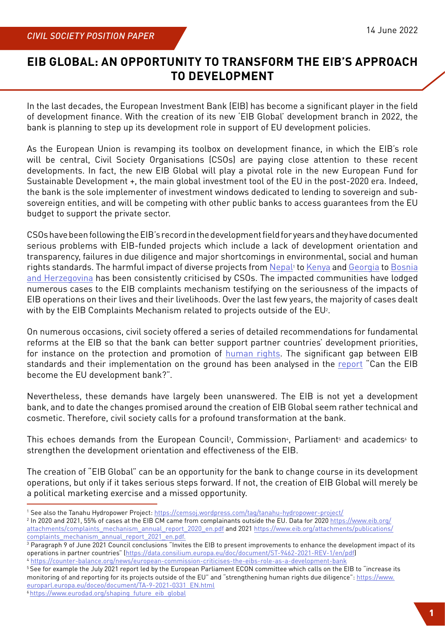## **EIB GLOBAL: AN OPPORTUNITY TO TRANSFORM THE EIB'S APPROACH TO DEVELOPMENT**

In the last decades, the European Investment Bank (EIB) has become a significant player in the field of development finance. With the creation of its new 'EIB Global' development branch in 2022, the bank is planning to step up its development role in support of EU development policies.

As the European Union is revamping its toolbox on development finance, in which the EIB's role will be central, Civil Society Organisations (CSOs) are paying close attention to these recent developments. In fact, the new EIB Global will play a pivotal role in the new European Fund for Sustainable Development +, the main global investment tool of the EU in the post-2020 era. Indeed, the bank is the sole implementer of investment windows dedicated to lending to sovereign and subsovereign entities, and will be competing with other public banks to access guarantees from the EU budget to support the private sector.

CSOs have been following the EIB's record in the development field for years and they have documented serious problems with EIB-funded projects which include a lack of development orientation and transparency, failures in due diligence and major shortcomings in environmental, social and human rights standards. The harmful impact of diverse projects from [Nepal](https://www.accountabilitycounsel.org/2021/10/transmission-tragedy-in-nepals-lamjung-district/)<sup>1</sup> to [Kenya](https://bankwatch.org/project/mombasa-mariakani-road-project-kenya) and [Georgia](https://bankwatch.org/blog/status-update-on-the-nenskra-hydropower-plant-project) to [Bosnia](https://bankwatch.org/project/corridorvc) [and Herzegovina](https://bankwatch.org/project/corridorvc) has been consistently criticised by CSOs. The impacted communities have lodged numerous cases to the EIB complaints mechanism testifying on the seriousness of the impacts of EIB operations on their lives and their livelihoods. Over the last few years, the majority of cases dealt with by the EIB Complaints Mechanism related to projects outside of the  $EU^2$ .

On numerous occasions, civil society offered a series of detailed recommendations for fundamental reforms at the EIB so that the bank can better support partner countries' development priorities, for instance on the protection and promotion of [human rights.](https://counter-balance.org/uploads/files/Documents/Briefings-and-Policy-Files/2021-Joint-Letter-EIB-Human-Rights-EIB-Annual-Seminar.pdf) The significant gap between EIB standards and their implementation on the ground has been analysed in the [report](https://counter-balance.org/publications/is-the-eib-too-faulty-to-become-the-eu-development-bank) "Can the EIB become the EU development bank?".

Nevertheless, these demands have largely been unanswered. The EIB is not yet a development bank, and to date the changes promised around the creation of EIB Global seem rather technical and cosmetic. Therefore, civil society calls for a profound transformation at the bank.

This echoes demands from the European Council<sup>3</sup>, Commission<sup>4</sup>, Parliament<sup>5</sup> and academics<sup>4</sup> to strengthen the development orientation and effectiveness of the EIB.

The creation of "EIB Global" can be an opportunity for the bank to change course in its development operations, but only if it takes serious steps forward. If not, the creation of EIB Global will merely be a political marketing exercise and a missed opportunity.

1 See also the Tanahu Hydropower Project: <https://cemsoj.wordpress.com/tag/tanahu-hydropower-project/>

<sup>2</sup> In 2020 and 2021, 55% of cases at the EIB CM came from complainants outside the EU. Data for 2020 [https://www.eib.org/](https://www.eib.org/attachments/publications/complaints_mechanism_annual_report_2021_en.pdf) [attachments/complaints\\_mechanism\\_annual\\_report\\_2020\\_en.pdf and 2021 https://www.eib.org/attachments/publications/](https://www.eib.org/attachments/publications/complaints_mechanism_annual_report_2021_en.pdf) [complaints\\_mechanism\\_annual\\_report\\_2021\\_en.pdf.](https://www.eib.org/attachments/publications/complaints_mechanism_annual_report_2021_en.pdf)

<sup>5</sup> See for example the July 2021 report led by the European Parliament ECON committee which calls on the EIB to "increase its monitoring of and reporting for its projects outside of the EU" and "strengthening human rights due diligence": [https://www.](https://www.europarl.europa.eu/doceo/document/TA-9-2021-0331_EN.html) [europarl.europa.eu/doceo/document/TA-9-2021-0331\\_EN.html](https://www.europarl.europa.eu/doceo/document/TA-9-2021-0331_EN.html)

6 https://www.eurodad.org/shaping\_future\_eib\_global

 $^{\rm 3}$  Paragraph 9 of June 2021 Council conclusions "Invites the EIB to present improvements to enhance the development impact of its operations in partner countries" [\(https://data.consilium.europa.eu/doc/document/ST-9462-2021-REV-1/en/pdf](https://data.consilium.europa.eu/doc/document/ST-9462-2021-REV-1/en/pdf)) <sup>4</sup> <https://counter-balance.org/news/european-commission-criticises-the-eibs-role-as-a-development-bank>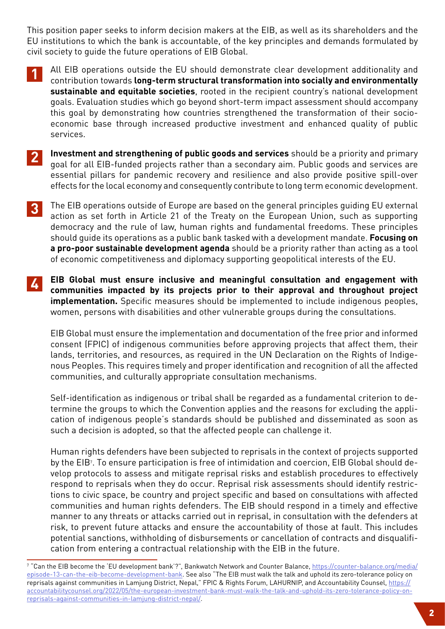This position paper seeks to inform decision makers at the EIB, as well as its shareholders and the EU institutions to which the bank is accountable, of the key principles and demands formulated by civil society to guide the future operations of EIB Global.

- **1** All EIB operations outside the EU should demonstrate clear development additionality and contribution towards **long-term structural transformation into socially and environmentally sustainable and equitable societies**, rooted in the recipient country's national development goals. Evaluation studies which go beyond short-term impact assessment should accompany this goal by demonstrating how countries strengthened the transformation of their socioeconomic base through increased productive investment and enhanced quality of public services.
- **Investment and strengthening of public goods and services** should be a priority and primary goal for all EIB-funded projects rather than a secondary aim. Public goods and services are essential pillars for pandemic recovery and resilience and also provide positive spill-over effects for the local economy and consequently contribute to long term economic development. **2**
- **3** The EIB operations outside of Europe are based on the general principles guiding EU external action as set forth in Article 21 of the Treaty on the European Union, such as supporting democracy and the rule of law, human rights and fundamental freedoms. These principles should guide its operations as a public bank tasked with a development mandate. **Focusing on a pro-poor sustainable development agenda** should be a priority rather than acting as a tool of economic competitiveness and diplomacy supporting geopolitical interests of the EU.
- **4 EIB Global must ensure inclusive and meaningful consultation and engagement with communities impacted by its projects prior to their approval and throughout project implementation.** Specific measures should be implemented to include indigenous peoples, women, persons with disabilities and other vulnerable groups during the consultations.

EIB Global must ensure the implementation and documentation of the free prior and informed consent (FPIC) of indigenous communities before approving projects that affect them, their lands, territories, and resources, as required in the UN Declaration on the Rights of Indigenous Peoples. This requires timely and proper identification and recognition of all the affected communities, and culturally appropriate consultation mechanisms.

Self-identification as indigenous or tribal shall be regarded as a fundamental criterion to determine the groups to which the Convention applies and the reasons for excluding the application of indigenous people's standards should be published and disseminated as soon as such a decision is adopted, so that the affected people can challenge it.

Human rights defenders have been subjected to reprisals in the context of projects supported by the EIB<sup>7</sup>. To ensure participation is free of intimidation and coercion, EIB Global should develop protocols to assess and mitigate reprisal risks and establish procedures to effectively respond to reprisals when they do occur. Reprisal risk assessments should identify restrictions to civic space, be country and project specific and based on consultations with affected communities and human rights defenders. The EIB should respond in a timely and effective manner to any threats or attacks carried out in reprisal, in consultation with the defenders at risk, to prevent future attacks and ensure the accountability of those at fault. This includes potential sanctions, withholding of disbursements or cancellation of contracts and disqualification from entering a contractual relationship with the EIB in the future.

<sup>7</sup> "Can the EIB become the 'EU development bank'?", Bankwatch Network and Counter Balance, [https://counter-balance.org/media/](https://counter-balance.org/media/episode-13-can-the-eib-become-development-bank) [episode-13-can-the-eib-become-development-bank](https://counter-balance.org/media/episode-13-can-the-eib-become-development-bank). See also "The EIB must walk the talk and uphold its zero-tolerance policy on reprisals against communities in Lamjung District, Nepal," FPIC & Rights Forum, LAHURNIP, and Accountability Counsel, [https://](https://accountabilitycounsel.org/2022/05/the-european-investment-bank-must-walk-the-talk-and-uphold-its-zero-tolerance-policy-on-reprisals-against-communities-in-lamjung-district-nepal/) [accountabilitycounsel.org/2022/05/the-european-investment-bank-must-walk-the-talk-and-uphold-its-zero-tolerance-policy-on](https://accountabilitycounsel.org/2022/05/the-european-investment-bank-must-walk-the-talk-and-uphold-its-zero-tolerance-policy-on-reprisals-against-communities-in-lamjung-district-nepal/)[reprisals-against-communities-in-lamjung-district-nepal/.](https://accountabilitycounsel.org/2022/05/the-european-investment-bank-must-walk-the-talk-and-uphold-its-zero-tolerance-policy-on-reprisals-against-communities-in-lamjung-district-nepal/)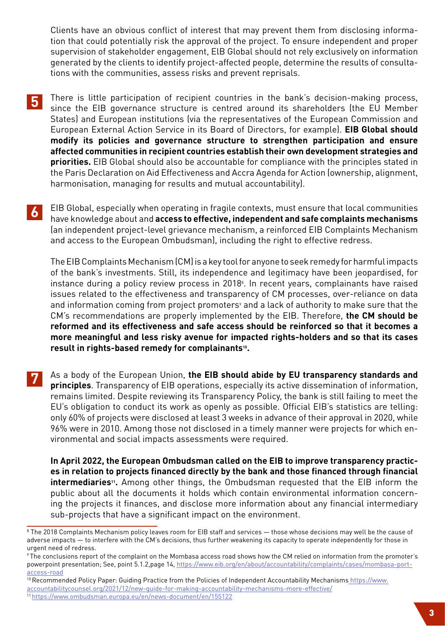Clients have an obvious conflict of interest that may prevent them from disclosing information that could potentially risk the approval of the project. To ensure independent and proper supervision of stakeholder engagement, ElB Global should not rely exclusively on information generated by the clients to identify project-affected people, determine the results of consultations with the communities, assess risks and prevent reprisals.

- **5** There is little participation of recipient countries in the bank's decision-making process, since the EIB governance structure is centred around its shareholders (the EU Member States) and European institutions (via the representatives of the European Commission and European External Action Service in its Board of Directors, for example). **EIB Global should modify its policies and governance structure to strengthen participation and ensure affected communities in recipient countries establish their own development strategies and priorities.** EIB Global should also be accountable for compliance with the principles stated in the Paris Declaration on Aid Effectiveness and Accra Agenda for Action (ownership, alignment, harmonisation, managing for results and mutual accountability).
- **6** EIB Global, especially when operating in fragile contexts, must ensure that local communities have knowledge about and **access to effective, independent and safe complaints mechanisms**  (an independent project-level grievance mechanism, a reinforced EIB Complaints Mechanism and access to the European Ombudsman), including the right to effective redress.

The EIB Complaints Mechanism (CM) is a key tool for anyone to seek remedy for harmful impacts of the bank's investments. Still, its independence and legitimacy have been jeopardised, for instance during a policy review process in 2018<sup>8</sup>. In recent years, complainants have raised issues related to the effectiveness and transparency of CM processes, over-reliance on data and information coming from project promoters<sup>9</sup> and a lack of authority to make sure that the CM's recommendations are properly implemented by the EIB. Therefore, **the CM should be reformed and its effectiveness and safe access should be reinforced so that it becomes a more meaningful and less risky avenue for impacted rights-holders and so that its cases result in rights-based remedy for complainants10.**

**7** As a body of the European Union, **the EIB should abide by EU transparency standards and principles**. Transparency of EIB operations, especially its active dissemination of information, remains limited. Despite reviewing its Transparency Policy, the bank is still failing to meet the EU's obligation to conduct its work as openly as possible. Official EIB's statistics are telling: only 60% of projects were disclosed at least 3 weeks in advance of their approval in 2020, while 96% were in 2010. Among those not disclosed in a timely manner were projects for which environmental and social impacts assessments were required.

**In April 2022, the European Ombudsman called on the EIB to improve transparency practices in relation to projects financed directly by the bank and those financed through financial**  intermediaries<sup>11</sup>. Among other things, the Ombudsman requested that the EIB inform the public about all the documents it holds which contain environmental information concerning the projects it finances, and disclose more information about any financial intermediary sub-projects that have a significant impact on the environment.

10 Recommended Policy Paper: Guiding Practice from the Policies of Independent Accountability Mechanisms [https://www.](https://www.accountabilitycounsel.org/2021/12/new-guide-for-making-accountability-mechanisms-more-effective/) [accountabilitycounsel.org/2021/12/new-guide-for-making-accountability-mechanisms-more-effective/](https://www.accountabilitycounsel.org/2021/12/new-guide-for-making-accountability-mechanisms-more-effective/) 11 <https://www.ombudsman.europa.eu/en/news-document/en/155122>

 $^{\rm 8}$  The 2018 Complaints Mechanism policy leaves room for EIB staff and services — those whose decisions may well be the cause of adverse impacts — to interfere with the CM's decisions, thus further weakening its capacity to operate independently for those in urgent need of redress.

<sup>9</sup> The conclusions report of the complaint on the Mombasa access road shows how the CM relied on information from the promoter's powerpoint presentation; See, point 5.1.2,page 14, [https://www.eib.org/en/about/accountability/complaints/cases/mombasa-port](https://www.eib.org/en/about/accountability/complaints/cases/mombasa-port-access-road)[access-road](https://www.eib.org/en/about/accountability/complaints/cases/mombasa-port-access-road)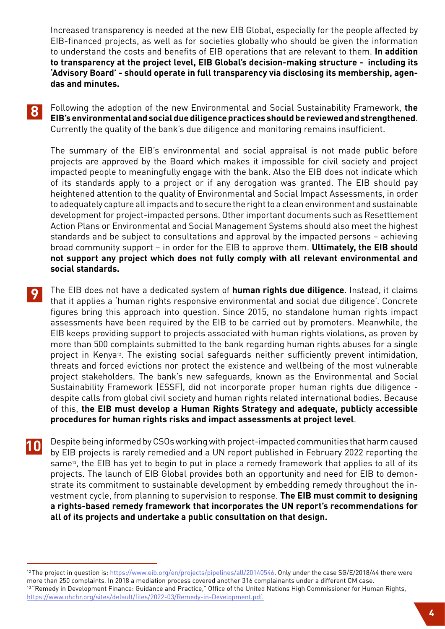Increased transparency is needed at the new EIB Global, especially for the people affected by EIB-financed projects, as well as for societies globally who should be given the information to understand the costs and benefits of EIB operations that are relevant to them. **In addition to transparency at the project level, EIB Global's decision-making structure - including its 'Advisory Board' - should operate in full transparency via disclosing its membership, agendas and minutes.**

**8** Following the adoption of the new Environmental and Social Sustainability Framework, **the EIB's environmental and social due diligence practices should be reviewed and strengthened**. Currently the quality of the bank's due diligence and monitoring remains insufficient.

The summary of the EIB's environmental and social appraisal is not made public before projects are approved by the Board which makes it impossible for civil society and project impacted people to meaningfully engage with the bank. Also the EIB does not indicate which of its standards apply to a project or if any derogation was granted. The EIB should pay heightened attention to the quality of Environmental and Social Impact Assessments, in order to adequately capture all impacts and to secure the right to a clean environment and sustainable development for project-impacted persons. Other important documents such as Resettlement Action Plans or Environmental and Social Management Systems should also meet the highest standards and be subject to consultations and approval by the impacted persons – achieving broad community support – in order for the EIB to approve them. **Ultimately, the EIB should not support any project which does not fully comply with all relevant environmental and social standards.**

- **9** The EIB does not have a dedicated system of **human rights due diligence**. Instead, it claims that it applies a 'human rights responsive environmental and social due diligence'. Concrete figures bring this approach into question. Since 2015, no standalone human rights impact assessments have been required by the EIB to be carried out by promoters. Meanwhile, the EIB keeps providing support to projects associated with human rights violations, as proven by more than 500 complaints submitted to the bank regarding human rights abuses for a single project in Kenya<sup>12</sup>. The existing social safeguards neither sufficiently prevent intimidation, threats and forced evictions nor protect the existence and wellbeing of the most vulnerable project stakeholders. The bank's new safeguards, known as the Environmental and Social Sustainability Framework (ESSF), did not incorporate proper human rights due diligence despite calls from global civil society and human rights related international bodies. Because of this, **the EIB must develop a Human Rights Strategy and adequate, publicly accessible procedures for human rights risks and impact assessments at project level**.
- **10** Despite being informed by CSOs working with project-impacted communities that harm caused<br>by EIB projects is rarely remodied and a UN report published in Eebruary 2022 reporting the by EIB projects is rarely remedied and a UN report published in February 2022 reporting the same<sup>13</sup>, the EIB has yet to begin to put in place a remedy framework that applies to all of its projects. The launch of EIB Global provides both an opportunity and need for EIB to demonstrate its commitment to sustainable development by embedding remedy throughout the investment cycle, from planning to supervision to response. **The EIB must commit to designing a rights-based remedy framework that incorporates the UN report's recommendations for all of its projects and undertake a public consultation on that design.**

<sup>&</sup>lt;sup>12</sup>The project in question is:<https://www.eib.org/en/projects/pipelines/all/20140546>. Only under the case SG/E/2018/44 there were more than 250 complaints. In 2018 a mediation process covered another 316 complainants under a different CM case. <sup>13</sup> "Remedy in Development Finance: Guidance and Practice," Office of the United Nations High Commissioner for Human Rights, [https://www.ohchr.org/sites/default/files/2022-03/Remedy-in-Development.pdf.](https://www.ohchr.org/sites/default/files/2022-03/Remedy-in-Development.pdf)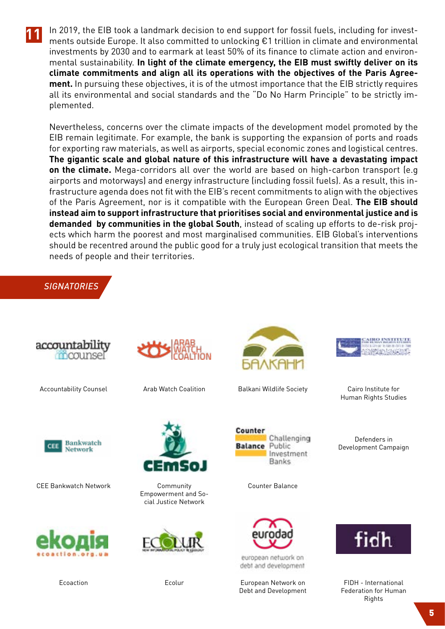

**11** In 2019, the EIB took a landmark decision to end support for fossil fuels, including for investments outside Europe. It also committed to unlocking €1 trillion in climate and environmental investments by 2030 and to earmark at least 50% of its finance to climate action and environmental sustainability. **In light of the climate emergency, the EIB must swiftly deliver on its climate commitments and align all its operations with the objectives of the Paris Agreement.** In pursuing these objectives, it is of the utmost importance that the EIB strictly requires all its environmental and social standards and the "Do No Harm Principle" to be strictly implemented.

Nevertheless, concerns over the climate impacts of the development model promoted by the EIB remain legitimate. For example, the bank is supporting the expansion of ports and roads for exporting raw materials, as well as airports, special economic zones and logistical centres. **The gigantic scale and global nature of this infrastructure will have a devastating impact on the climate.** Mega-corridors all over the world are based on high-carbon transport (e.g airports and motorways) and energy infrastructure (including fossil fuels). As a result, this infrastructure agenda does not fit with the EIB's recent commitments to align with the objectives of the Paris Agreement, nor is it compatible with the European Green Deal. **The EIB should instead aim to support infrastructure that prioritises social and environmental justice and is demanded by communities in the global South**, instead of scaling up efforts to de-risk projects which harm the poorest and most marginalised communities. EIB Global's interventions should be recentred around the public good for a truly just ecological transition that meets the needs of people and their territories.

## *SIGNATORIES*







CEE Bankwatch Network







Community Empowerment and Social Justice Network



Ecolur



Accountability Counsel **Arab Watch Coalition** Balkani Wildlife Society

Counter

**Balance** 



Cairo Institute for Human Rights Studies

Defenders in Development Campaign



Counter Balance

Challenging

Investment **Banks** 

Public

european network on debt and development

European Network on Debt and Development



FIDH - International Federation for Human Rights